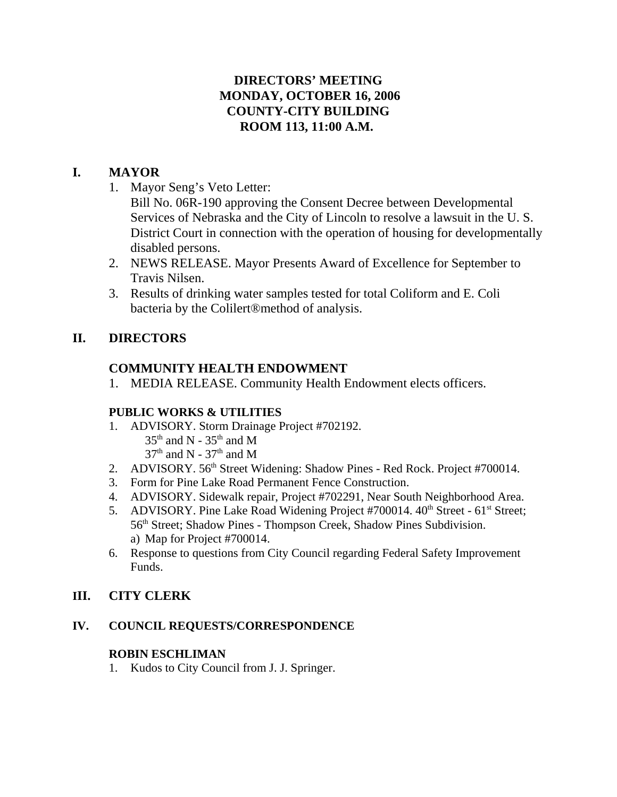## **DIRECTORS' MEETING MONDAY, OCTOBER 16, 2006 COUNTY-CITY BUILDING ROOM 113, 11:00 A.M.**

## **I. MAYOR**

1. Mayor Seng's Veto Letter:

Bill No. 06R-190 approving the Consent Decree between Developmental Services of Nebraska and the City of Lincoln to resolve a lawsuit in the U. S. District Court in connection with the operation of housing for developmentally disabled persons.

- 2. NEWS RELEASE. Mayor Presents Award of Excellence for September to Travis Nilsen.
- 3. Results of drinking water samples tested for total Coliform and E. Coli bacteria by the Colilert®method of analysis.

## **II. DIRECTORS**

## **COMMUNITY HEALTH ENDOWMENT**

1. MEDIA RELEASE. Community Health Endowment elects officers.

## **PUBLIC WORKS & UTILITIES**

- 1. ADVISORY. Storm Drainage Project #702192.
	- $35<sup>th</sup>$  and N  $35<sup>th</sup>$  and M  $37<sup>th</sup>$  and N -  $37<sup>th</sup>$  and M
- 2. ADVISORY. 56<sup>th</sup> Street Widening: Shadow Pines Red Rock. Project #700014.
- 3. Form for Pine Lake Road Permanent Fence Construction.
- 4. ADVISORY. Sidewalk repair, Project #702291, Near South Neighborhood Area.
- 5. ADVISORY. Pine Lake Road Widening Project #700014. 40<sup>th</sup> Street 61<sup>st</sup> Street; 56<sup>th</sup> Street; Shadow Pines - Thompson Creek, Shadow Pines Subdivision. a) Map for Project #700014.
- 6. Response to questions from City Council regarding Federal Safety Improvement Funds.

## **III. CITY CLERK**

## **IV. COUNCIL REQUESTS/CORRESPONDENCE**

## **ROBIN ESCHLIMAN**

1. Kudos to City Council from J. J. Springer.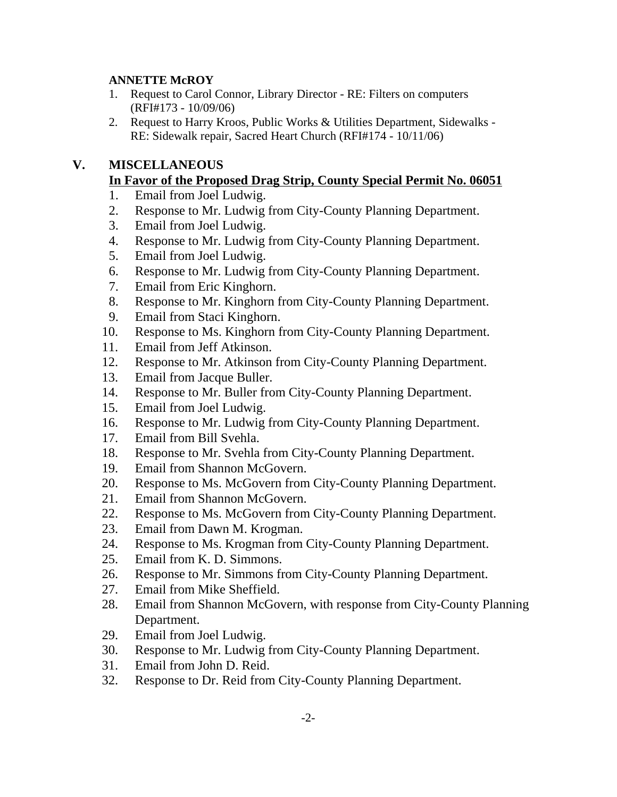### **ANNETTE McROY**

- 1. Request to Carol Connor, Library Director RE: Filters on computers (RFI#173 - 10/09/06)
- 2. Request to Harry Kroos, Public Works & Utilities Department, Sidewalks RE: Sidewalk repair, Sacred Heart Church (RFI#174 - 10/11/06)

## **V. MISCELLANEOUS**

## **In Favor of the Proposed Drag Strip, County Special Permit No. 06051**

- 1. Email from Joel Ludwig.
- 2. Response to Mr. Ludwig from City-County Planning Department.
- 3. Email from Joel Ludwig.
- 4. Response to Mr. Ludwig from City-County Planning Department.
- 5. Email from Joel Ludwig.
- 6. Response to Mr. Ludwig from City-County Planning Department.
- 7. Email from Eric Kinghorn.
- 8. Response to Mr. Kinghorn from City-County Planning Department.
- 9. Email from Staci Kinghorn.
- 10. Response to Ms. Kinghorn from City-County Planning Department.
- 11. Email from Jeff Atkinson.
- 12. Response to Mr. Atkinson from City-County Planning Department.
- 13. Email from Jacque Buller.
- 14. Response to Mr. Buller from City-County Planning Department.
- 15. Email from Joel Ludwig.
- 16. Response to Mr. Ludwig from City-County Planning Department.
- 17. Email from Bill Svehla.
- 18. Response to Mr. Svehla from City-County Planning Department.
- 19. Email from Shannon McGovern.
- 20. Response to Ms. McGovern from City-County Planning Department.
- 21. Email from Shannon McGovern.
- 22. Response to Ms. McGovern from City-County Planning Department.
- 23. Email from Dawn M. Krogman.
- 24. Response to Ms. Krogman from City-County Planning Department.
- 25. Email from K. D. Simmons.
- 26. Response to Mr. Simmons from City-County Planning Department.
- 27. Email from Mike Sheffield.
- 28. Email from Shannon McGovern, with response from City-County Planning Department.
- 29. Email from Joel Ludwig.
- 30. Response to Mr. Ludwig from City-County Planning Department.
- 31. Email from John D. Reid.
- 32. Response to Dr. Reid from City-County Planning Department.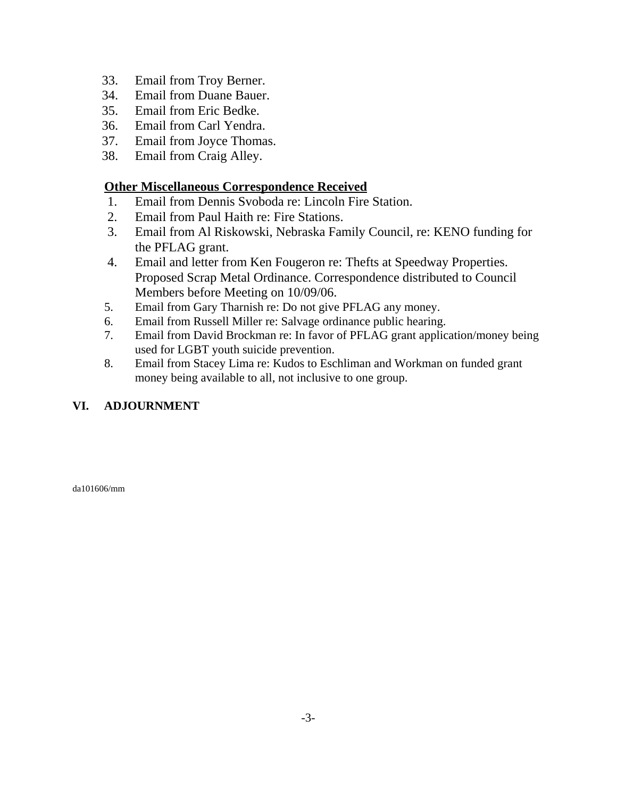- 33. Email from Troy Berner.
- 34. Email from Duane Bauer.
- 35. Email from Eric Bedke.
- 36. Email from Carl Yendra.
- 37. Email from Joyce Thomas.
- 38. Email from Craig Alley.

### **Other Miscellaneous Correspondence Received**

- 1. Email from Dennis Svoboda re: Lincoln Fire Station.
- 2. Email from Paul Haith re: Fire Stations.
- 3. Email from Al Riskowski, Nebraska Family Council, re: KENO funding for the PFLAG grant.
- 4. Email and letter from Ken Fougeron re: Thefts at Speedway Properties. Proposed Scrap Metal Ordinance. Correspondence distributed to Council Members before Meeting on 10/09/06.
- 5. Email from Gary Tharnish re: Do not give PFLAG any money.
- 6. Email from Russell Miller re: Salvage ordinance public hearing.
- 7. Email from David Brockman re: In favor of PFLAG grant application/money being used for LGBT youth suicide prevention.
- 8. Email from Stacey Lima re: Kudos to Eschliman and Workman on funded grant money being available to all, not inclusive to one group.

### **VI. ADJOURNMENT**

da101606/mm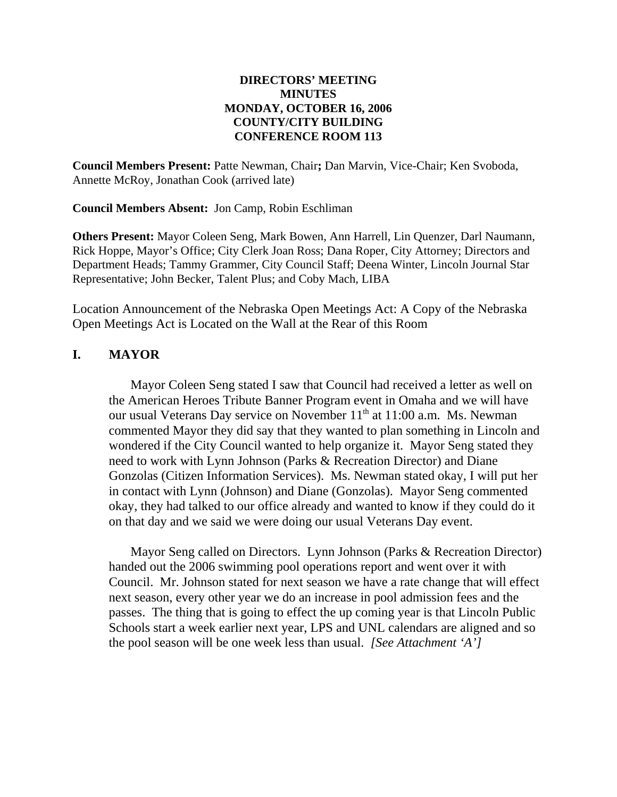### **DIRECTORS' MEETING MINUTES MONDAY, OCTOBER 16, 2006 COUNTY/CITY BUILDING CONFERENCE ROOM 113**

**Council Members Present:** Patte Newman, Chair**;** Dan Marvin, Vice-Chair; Ken Svoboda, Annette McRoy, Jonathan Cook (arrived late)

**Council Members Absent:** Jon Camp, Robin Eschliman

**Others Present:** Mayor Coleen Seng, Mark Bowen, Ann Harrell, Lin Quenzer, Darl Naumann, Rick Hoppe, Mayor's Office; City Clerk Joan Ross; Dana Roper, City Attorney; Directors and Department Heads; Tammy Grammer, City Council Staff; Deena Winter, Lincoln Journal Star Representative; John Becker, Talent Plus; and Coby Mach, LIBA

Location Announcement of the Nebraska Open Meetings Act: A Copy of the Nebraska Open Meetings Act is Located on the Wall at the Rear of this Room

### **I. MAYOR**

Mayor Coleen Seng stated I saw that Council had received a letter as well on the American Heroes Tribute Banner Program event in Omaha and we will have our usual Veterans Day service on November 11<sup>th</sup> at 11:00 a.m. Ms. Newman commented Mayor they did say that they wanted to plan something in Lincoln and wondered if the City Council wanted to help organize it. Mayor Seng stated they need to work with Lynn Johnson (Parks & Recreation Director) and Diane Gonzolas (Citizen Information Services). Ms. Newman stated okay, I will put her in contact with Lynn (Johnson) and Diane (Gonzolas). Mayor Seng commented okay, they had talked to our office already and wanted to know if they could do it on that day and we said we were doing our usual Veterans Day event.

Mayor Seng called on Directors. Lynn Johnson (Parks & Recreation Director) handed out the 2006 swimming pool operations report and went over it with Council. Mr. Johnson stated for next season we have a rate change that will effect next season, every other year we do an increase in pool admission fees and the passes. The thing that is going to effect the up coming year is that Lincoln Public Schools start a week earlier next year, LPS and UNL calendars are aligned and so the pool season will be one week less than usual. *[See Attachment 'A']*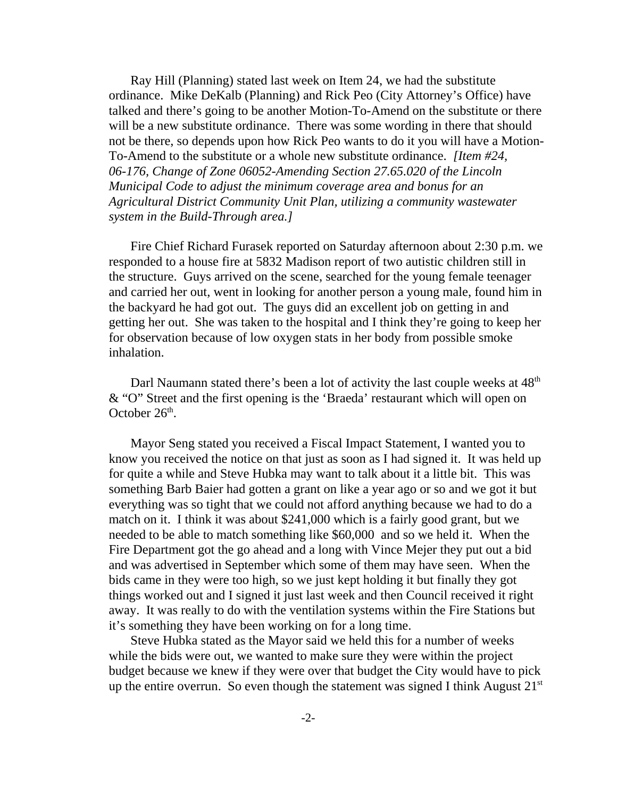Ray Hill (Planning) stated last week on Item 24, we had the substitute ordinance. Mike DeKalb (Planning) and Rick Peo (City Attorney's Office) have talked and there's going to be another Motion-To-Amend on the substitute or there will be a new substitute ordinance. There was some wording in there that should not be there, so depends upon how Rick Peo wants to do it you will have a Motion-To-Amend to the substitute or a whole new substitute ordinance. *[Item #24, 06-176, Change of Zone 06052-Amending Section 27.65.020 of the Lincoln Municipal Code to adjust the minimum coverage area and bonus for an Agricultural District Community Unit Plan, utilizing a community wastewater system in the Build-Through area.]*

Fire Chief Richard Furasek reported on Saturday afternoon about 2:30 p.m. we responded to a house fire at 5832 Madison report of two autistic children still in the structure. Guys arrived on the scene, searched for the young female teenager and carried her out, went in looking for another person a young male, found him in the backyard he had got out. The guys did an excellent job on getting in and getting her out. She was taken to the hospital and I think they're going to keep her for observation because of low oxygen stats in her body from possible smoke inhalation.

Darl Naumann stated there's been a lot of activity the last couple weeks at  $48<sup>th</sup>$ & "O" Street and the first opening is the 'Braeda' restaurant which will open on October  $26<sup>th</sup>$ .

Mayor Seng stated you received a Fiscal Impact Statement, I wanted you to know you received the notice on that just as soon as I had signed it. It was held up for quite a while and Steve Hubka may want to talk about it a little bit. This was something Barb Baier had gotten a grant on like a year ago or so and we got it but everything was so tight that we could not afford anything because we had to do a match on it. I think it was about \$241,000 which is a fairly good grant, but we needed to be able to match something like \$60,000 and so we held it. When the Fire Department got the go ahead and a long with Vince Mejer they put out a bid and was advertised in September which some of them may have seen. When the bids came in they were too high, so we just kept holding it but finally they got things worked out and I signed it just last week and then Council received it right away. It was really to do with the ventilation systems within the Fire Stations but it's something they have been working on for a long time.

Steve Hubka stated as the Mayor said we held this for a number of weeks while the bids were out, we wanted to make sure they were within the project budget because we knew if they were over that budget the City would have to pick up the entire overrun. So even though the statement was signed I think August  $21<sup>st</sup>$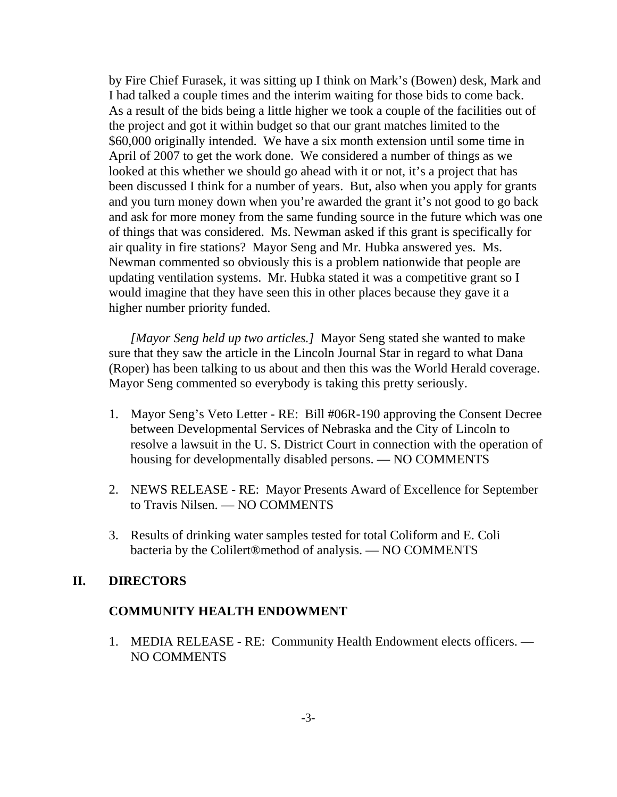by Fire Chief Furasek, it was sitting up I think on Mark's (Bowen) desk, Mark and I had talked a couple times and the interim waiting for those bids to come back. As a result of the bids being a little higher we took a couple of the facilities out of the project and got it within budget so that our grant matches limited to the \$60,000 originally intended. We have a six month extension until some time in April of 2007 to get the work done. We considered a number of things as we looked at this whether we should go ahead with it or not, it's a project that has been discussed I think for a number of years. But, also when you apply for grants and you turn money down when you're awarded the grant it's not good to go back and ask for more money from the same funding source in the future which was one of things that was considered. Ms. Newman asked if this grant is specifically for air quality in fire stations? Mayor Seng and Mr. Hubka answered yes. Ms. Newman commented so obviously this is a problem nationwide that people are updating ventilation systems. Mr. Hubka stated it was a competitive grant so I would imagine that they have seen this in other places because they gave it a higher number priority funded.

*[Mayor Seng held up two articles.]* Mayor Seng stated she wanted to make sure that they saw the article in the Lincoln Journal Star in regard to what Dana (Roper) has been talking to us about and then this was the World Herald coverage. Mayor Seng commented so everybody is taking this pretty seriously.

- 1. Mayor Seng's Veto Letter RE: Bill #06R-190 approving the Consent Decree between Developmental Services of Nebraska and the City of Lincoln to resolve a lawsuit in the U. S. District Court in connection with the operation of housing for developmentally disabled persons. — NO COMMENTS
- 2. NEWS RELEASE RE: Mayor Presents Award of Excellence for September to Travis Nilsen. — NO COMMENTS
- 3. Results of drinking water samples tested for total Coliform and E. Coli bacteria by the Colilert®method of analysis. — NO COMMENTS

### **II. DIRECTORS**

### **COMMUNITY HEALTH ENDOWMENT**

1. MEDIA RELEASE - RE: Community Health Endowment elects officers. — NO COMMENTS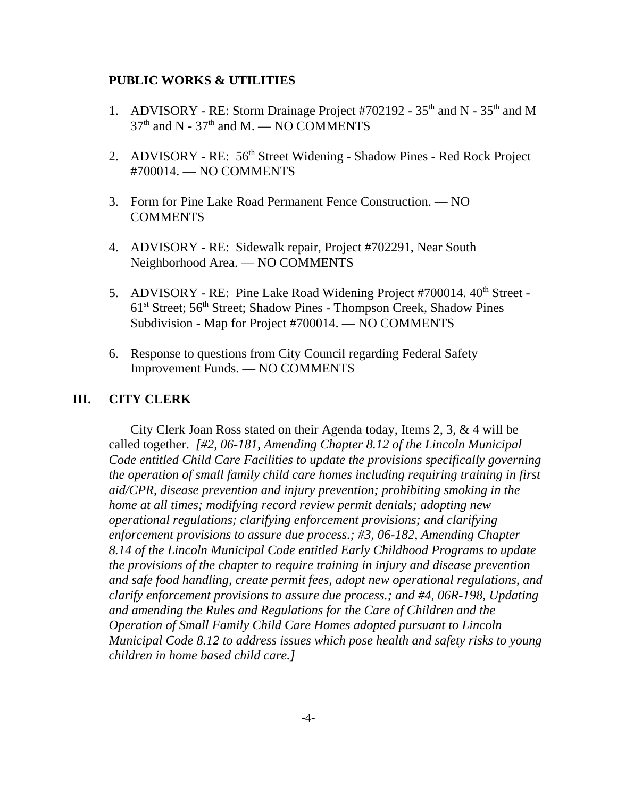#### **PUBLIC WORKS & UTILITIES**

- 1. ADVISORY RE: Storm Drainage Project #702192  $35<sup>th</sup>$  and N  $35<sup>th</sup>$  and M  $37<sup>th</sup>$  and N -  $37<sup>th</sup>$  and M. — NO COMMENTS
- 2. ADVISORY RE: 56<sup>th</sup> Street Widening Shadow Pines Red Rock Project #700014. — NO COMMENTS
- 3. Form for Pine Lake Road Permanent Fence Construction. NO COMMENTS
- 4. ADVISORY RE: Sidewalk repair, Project #702291, Near South Neighborhood Area. — NO COMMENTS
- 5. ADVISORY RE: Pine Lake Road Widening Project #700014. 40<sup>th</sup> Street -61st Street; 56th Street; Shadow Pines - Thompson Creek, Shadow Pines Subdivision - Map for Project #700014. — NO COMMENTS
- 6. Response to questions from City Council regarding Federal Safety Improvement Funds. — NO COMMENTS

#### **III. CITY CLERK**

City Clerk Joan Ross stated on their Agenda today, Items 2, 3, & 4 will be called together. *[#2, 06-181, Amending Chapter 8.12 of the Lincoln Municipal Code entitled Child Care Facilities to update the provisions specifically governing the operation of small family child care homes including requiring training in first aid/CPR, disease prevention and injury prevention; prohibiting smoking in the home at all times; modifying record review permit denials; adopting new operational regulations; clarifying enforcement provisions; and clarifying enforcement provisions to assure due process.; #3, 06-182, Amending Chapter 8.14 of the Lincoln Municipal Code entitled Early Childhood Programs to update the provisions of the chapter to require training in injury and disease prevention and safe food handling, create permit fees, adopt new operational regulations, and clarify enforcement provisions to assure due process.; and #4, 06R-198, Updating and amending the Rules and Regulations for the Care of Children and the Operation of Small Family Child Care Homes adopted pursuant to Lincoln Municipal Code 8.12 to address issues which pose health and safety risks to young children in home based child care.]*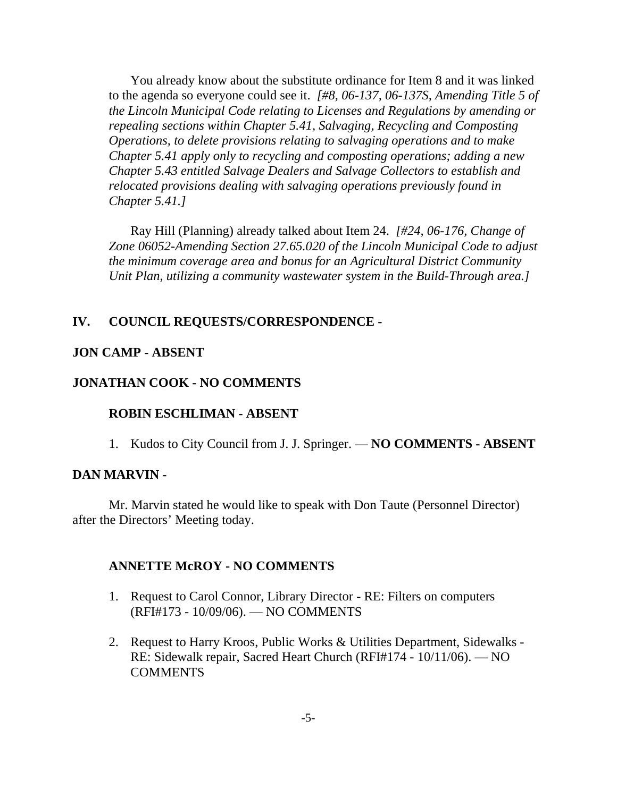You already know about the substitute ordinance for Item 8 and it was linked to the agenda so everyone could see it. *[#8, 06-137, 06-137S, Amending Title 5 of the Lincoln Municipal Code relating to Licenses and Regulations by amending or repealing sections within Chapter 5.41, Salvaging, Recycling and Composting Operations, to delete provisions relating to salvaging operations and to make Chapter 5.41 apply only to recycling and composting operations; adding a new Chapter 5.43 entitled Salvage Dealers and Salvage Collectors to establish and relocated provisions dealing with salvaging operations previously found in Chapter 5.41.]* 

Ray Hill (Planning) already talked about Item 24. *[#24, 06-176, Change of Zone 06052-Amending Section 27.65.020 of the Lincoln Municipal Code to adjust the minimum coverage area and bonus for an Agricultural District Community Unit Plan, utilizing a community wastewater system in the Build-Through area.]* 

### **IV. COUNCIL REQUESTS/CORRESPONDENCE -**

#### **JON CAMP - ABSENT**

#### **JONATHAN COOK - NO COMMENTS**

#### **ROBIN ESCHLIMAN - ABSENT**

1. Kudos to City Council from J. J. Springer. — **NO COMMENTS - ABSENT**

#### **DAN MARVIN -**

Mr. Marvin stated he would like to speak with Don Taute (Personnel Director) after the Directors' Meeting today.

#### **ANNETTE McROY - NO COMMENTS**

- 1. Request to Carol Connor, Library Director RE: Filters on computers (RFI#173 - 10/09/06). — NO COMMENTS
- 2. Request to Harry Kroos, Public Works & Utilities Department, Sidewalks RE: Sidewalk repair, Sacred Heart Church (RFI#174 - 10/11/06). — NO **COMMENTS**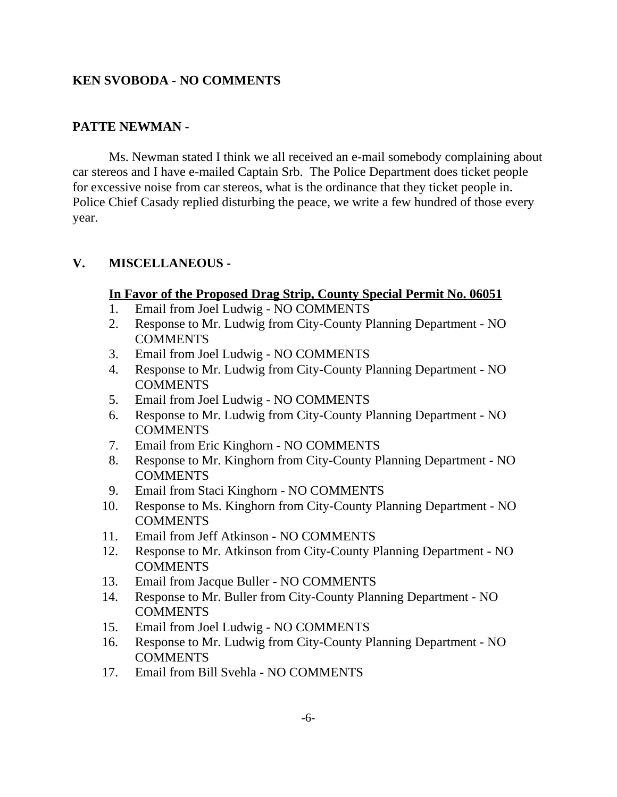## **KEN SVOBODA - NO COMMENTS**

## **PATTE NEWMAN -**

Ms. Newman stated I think we all received an e-mail somebody complaining about car stereos and I have e-mailed Captain Srb. The Police Department does ticket people for excessive noise from car stereos, what is the ordinance that they ticket people in. Police Chief Casady replied disturbing the peace, we write a few hundred of those every year.

### **V. MISCELLANEOUS -**

### **In Favor of the Proposed Drag Strip, County Special Permit No. 06051**

- 1. Email from Joel Ludwig NO COMMENTS
- 2. Response to Mr. Ludwig from City-County Planning Department NO **COMMENTS**
- 3. Email from Joel Ludwig NO COMMENTS
- 4. Response to Mr. Ludwig from City-County Planning Department NO COMMENTS
- 5. Email from Joel Ludwig NO COMMENTS
- 6. Response to Mr. Ludwig from City-County Planning Department NO COMMENTS
- 7. Email from Eric Kinghorn NO COMMENTS
- 8. Response to Mr. Kinghorn from City-County Planning Department NO **COMMENTS**
- 9. Email from Staci Kinghorn NO COMMENTS
- 10. Response to Ms. Kinghorn from City-County Planning Department NO **COMMENTS**
- 11. Email from Jeff Atkinson NO COMMENTS
- 12. Response to Mr. Atkinson from City-County Planning Department NO **COMMENTS**
- 13. Email from Jacque Buller NO COMMENTS
- 14. Response to Mr. Buller from City-County Planning Department NO COMMENTS
- 15. Email from Joel Ludwig NO COMMENTS
- 16. Response to Mr. Ludwig from City-County Planning Department NO COMMENTS
- 17. Email from Bill Svehla NO COMMENTS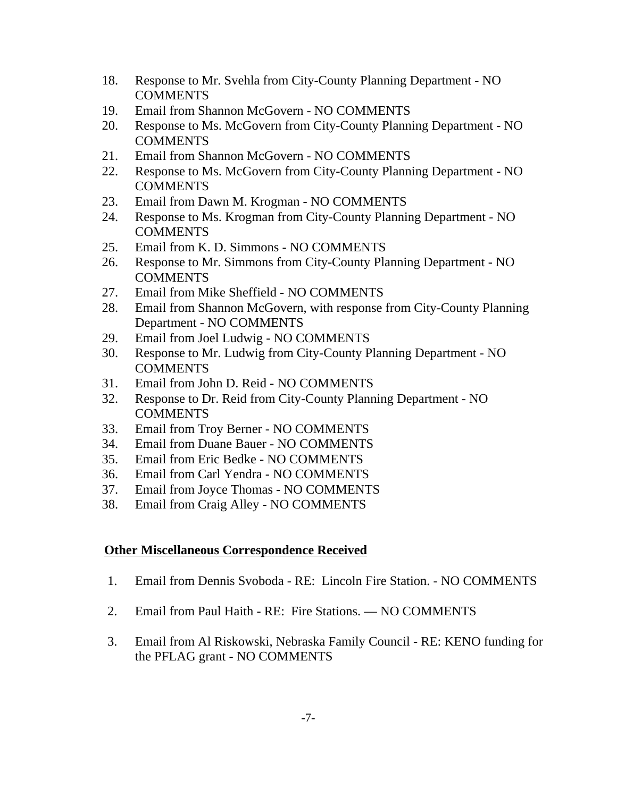- 18. Response to Mr. Svehla from City-County Planning Department NO **COMMENTS**
- 19. Email from Shannon McGovern NO COMMENTS
- 20. Response to Ms. McGovern from City-County Planning Department NO **COMMENTS**
- 21. Email from Shannon McGovern NO COMMENTS
- 22. Response to Ms. McGovern from City-County Planning Department NO COMMENTS
- 23. Email from Dawn M. Krogman NO COMMENTS
- 24. Response to Ms. Krogman from City-County Planning Department NO COMMENTS
- 25. Email from K. D. Simmons NO COMMENTS
- 26. Response to Mr. Simmons from City-County Planning Department NO **COMMENTS**
- 27. Email from Mike Sheffield NO COMMENTS
- 28. Email from Shannon McGovern, with response from City-County Planning Department - NO COMMENTS
- 29. Email from Joel Ludwig NO COMMENTS
- 30. Response to Mr. Ludwig from City-County Planning Department NO COMMENTS
- 31. Email from John D. Reid NO COMMENTS
- 32. Response to Dr. Reid from City-County Planning Department NO COMMENTS
- 33. Email from Troy Berner NO COMMENTS
- 34. Email from Duane Bauer NO COMMENTS
- 35. Email from Eric Bedke NO COMMENTS
- 36. Email from Carl Yendra NO COMMENTS
- 37. Email from Joyce Thomas NO COMMENTS
- 38. Email from Craig Alley NO COMMENTS

### **Other Miscellaneous Correspondence Received**

- 1. Email from Dennis Svoboda RE: Lincoln Fire Station. NO COMMENTS
- 2. Email from Paul Haith RE: Fire Stations. NO COMMENTS
- 3. Email from Al Riskowski, Nebraska Family Council RE: KENO funding for the PFLAG grant - NO COMMENTS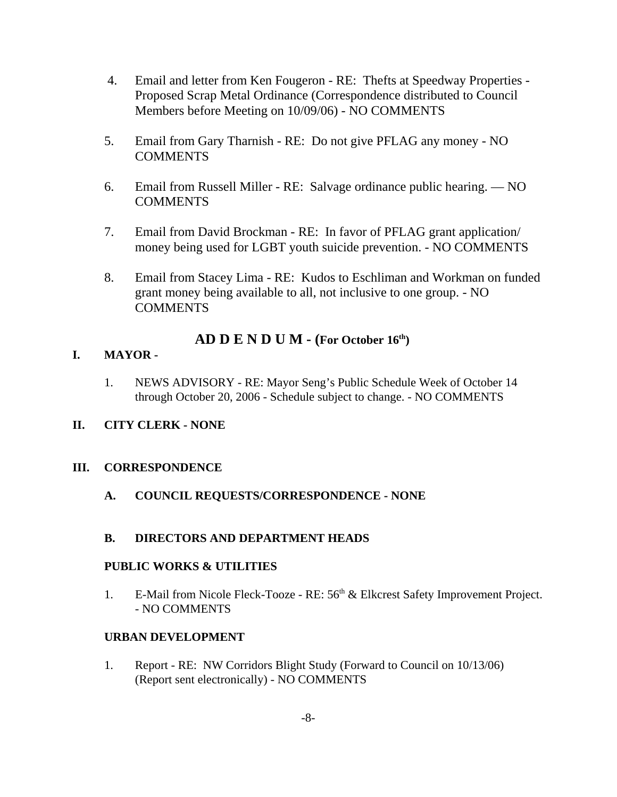- 4. Email and letter from Ken Fougeron RE: Thefts at Speedway Properties Proposed Scrap Metal Ordinance (Correspondence distributed to Council Members before Meeting on 10/09/06) - NO COMMENTS
- 5. Email from Gary Tharnish RE: Do not give PFLAG any money NO COMMENTS
- 6. Email from Russell Miller RE: Salvage ordinance public hearing. NO COMMENTS
- 7. Email from David Brockman RE: In favor of PFLAG grant application/ money being used for LGBT youth suicide prevention. - NO COMMENTS
- 8. Email from Stacey Lima RE: Kudos to Eschliman and Workman on funded grant money being available to all, not inclusive to one group. - NO **COMMENTS**

## **AD D E N D U M - (For October 16th)**

### **I. MAYOR -**

1. NEWS ADVISORY - RE: Mayor Seng's Public Schedule Week of October 14 through October 20, 2006 - Schedule subject to change. - NO COMMENTS

### **II. CITY CLERK - NONE**

#### **III. CORRESPONDENCE**

### **A. COUNCIL REQUESTS/CORRESPONDENCE - NONE**

#### **B. DIRECTORS AND DEPARTMENT HEADS**

#### **PUBLIC WORKS & UTILITIES**

1. E-Mail from Nicole Fleck-Tooze - RE: 56<sup>th</sup> & Elkcrest Safety Improvement Project. - NO COMMENTS

### **URBAN DEVELOPMENT**

1. Report - RE: NW Corridors Blight Study (Forward to Council on 10/13/06) (Report sent electronically) - NO COMMENTS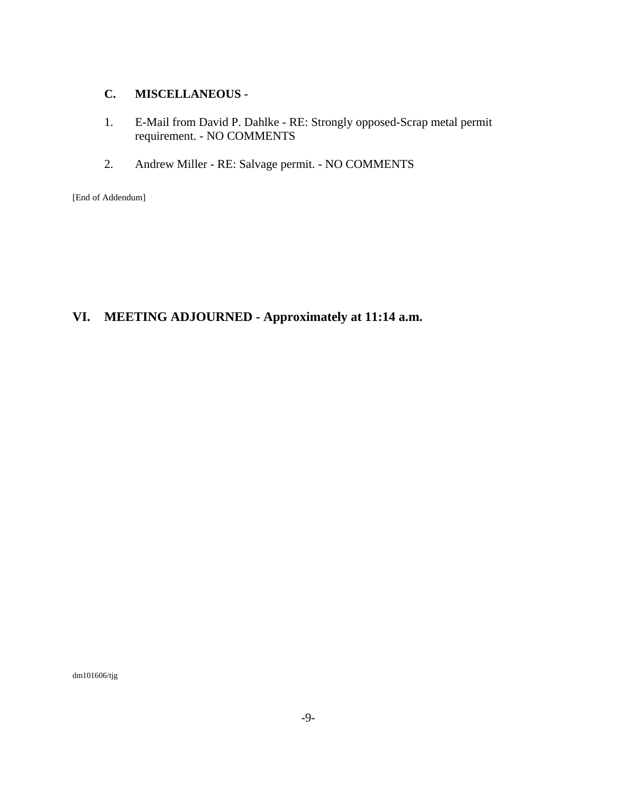### **C. MISCELLANEOUS -**

- 1. E-Mail from David P. Dahlke RE: Strongly opposed-Scrap metal permit requirement. - NO COMMENTS
- 2. Andrew Miller RE: Salvage permit. NO COMMENTS

[End of Addendum]

## **VI. MEETING ADJOURNED - Approximately at 11:14 a.m.**

dm101606/tjg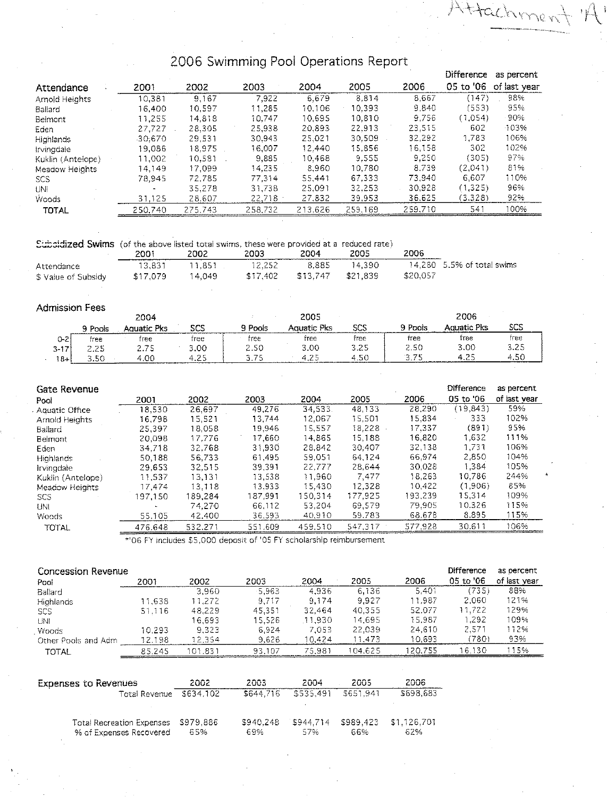# 2006 Swimming Pool Operations Report

Attachment

**MILL**aunn

 $\mathcal{A}$ 

|                    |           |         |         |         |         |         |           | <b>DRIGIGNO GO POLICIIL</b> |
|--------------------|-----------|---------|---------|---------|---------|---------|-----------|-----------------------------|
| Attendance         | 2001      | 2002    | 2003    | 2004    | 2005    | 2006    | 05 to '06 | of last year                |
| Arnold Heights     | 10.381    | 9.167   | 7,922   | 6.679   | 8.814   | 8,667   | (147)     | 98%                         |
| Ballard            | 16.400    | 10.597  | 11.285  | 10.106  | 10.393  | 9.840   | (553)     | 95%                         |
| Belmont            | 11.255    | 14.818  | 10.747  | 10.695  | 10.810  | 9.756   | (1.054)   | .90%                        |
| Eden               | 27.727    | 28.305  | 25,938  | 20.893  | 22,913  | 23,515  | 602       | -103%                       |
| <b>Highlands</b>   | $-30.670$ | 29.531  | 30.943  | 25.021  | 30.509  | 32,292  | 1,783     | 106%                        |
| Irvingdale         | 19.086    | 18.975  | 16.007  | 12.440  | 15.856  | 16.158  | 302       | 102%                        |
| Kuklin (Antelope). | 11.002    | 10.581  | 9,885   | 10.468  | 9.555   | 9.250   | (305)     | 97%                         |
| Meadow Heights     | 14.149    | 17,099  | 14.235  | 8.960   | 10.780  | 8,739   | (2.041)   | 81%                         |
| <b>SCS</b>         | 78.945    | 72.785  | 77.314  | 55.441  | 67.333  | 73.940  | 6.607     | 110%                        |
| UNI                |           | 35,278  | 31.738  | 25.091  | 32.253  | 30,928  | (1,325)   | 96%                         |
| Woods              | 31.125    | 28.607  | 22,718  | 27.832  | 39.953  | 36,625  | (3.328)   | 92%                         |
| TOTAL              | 250.740   | 275.743 | 258,732 | 213.626 | 259.169 | 259.710 | 541       | 100%                        |
|                    |           |         |         |         |         |         |           |                             |

Subsidized Swims (of the above listed total swims, these were provided at a reduced rate)

|                     | 2001<br>_______________________ | 2002   | 2003     | 2004     | 2005     | 2006     |                            |
|---------------------|---------------------------------|--------|----------|----------|----------|----------|----------------------------|
| Attendance          | 13.831                          | 11.851 | 12.252   | 8.885    | 14.390   |          | 14.280 5.5% of total swims |
| \$ Value of Subsidy | \$17.079                        | 14.049 | \$17.402 | \$13,747 | \$21.839 | \$20.057 |                            |

#### **Admission Fees**

|          |            | 2004          |                       |         | 2005        |              |       | 2006         |           |
|----------|------------|---------------|-----------------------|---------|-------------|--------------|-------|--------------|-----------|
|          | Pools      | iuatic Pks    | - כת<br>نست ستة السنة | ∩ Pools | Aquatic Pks | רר ק<br>رسائ | Pools | a meatic Pks | scs       |
| 0-2      | free       | tree          | free                  | free    | free        | free         | free  | free         | free      |
| $3 - 17$ | つ つに       | $\frac{2}{2}$ | 3.00                  | 2.50    | 3.00        | 3.25         | 2.50  | 3.00         | 3.25      |
| $8 + 1$  | -50<br>، ب | .00           | 4.75                  | 75      | 4.2F        |              |       | $-$          | -50<br>л. |

|         |         |         |         |         |         | Difference | as percent   |
|---------|---------|---------|---------|---------|---------|------------|--------------|
| 2001    | 2002    | 2003    | 2004    | 2005    | 2006    | 05 to '06  | of last year |
| 18.530  | 26,697  | 49.276  | 34,533  | 48.133  | 28,290  | (19, 843)  | 59%          |
| 16.798  | 15.521  | 13.744  | 12.067  | 15.501  | 15,834  | 333        | 102%         |
| 25.397  | 18.058  | 19.946  | 15.557  | 18.228  | 17,337  | (891)      | 95%          |
| 20.098  | 17.776  | 17.660  | 14.865  | 15.188  | 16.820  | 1.632      | 111%         |
| 34.718  | 32.768  | 31.930  | 28.842  | 30:407  | 32.138  | 1,731      | 106%         |
| 50.188  | 56,733  | 61.495  | 59.051  | 64.124  | 66.974  | 2,850      | 104%         |
| 29.653  | 32.515  | 39.391  | 22.777  | 28.644  | 30.028  | 1,384      | 105%         |
| 11.537  | 13.131  | 13,538  | 11.960  | 7.477   | 18.263  | 10.786     | 244%         |
| 17.474  | 13.118  | 13.933  | 15.430  | 12.328  | 10.422  | (1.906)    | 85%          |
|         | 189.284 | 187.991 | 150.314 | 177.925 | 193.239 | 15.314     | 109%         |
|         | 74.270  | 66.112  | 53.204  | 69.579  | 79.905  | 10.326     | 115%         |
| 55.105  | 42,400  | 36.593  | 40.910  | 59.783  | 68.678  | 8.895      | 115%         |
| 476.648 | 532.271 | 551.609 | 459.510 | 547.317 | 577.928 | 30.611     | 106%         |
|         | 197.150 |         |         |         |         |            |              |

\*'06 FY includes \$5,000 deposit of '05 FY scholarship reimbursement

| Concession Revenue                                          |                      |                  |                  |                  |                  |                    | Difference | as percent   |
|-------------------------------------------------------------|----------------------|------------------|------------------|------------------|------------------|--------------------|------------|--------------|
| Pool                                                        | 2001                 | 2002             | 2003             | 2004             | 2005             | 2006               | 05 to '06  | of last year |
| Ballard                                                     |                      | 3.960            | 5.963            | 4.936            | 6,136            | 5.401              | (735)      | 88%          |
| Highlands                                                   | 11,638               | 11.272           | 9,717            | 9.174            | 9.927            | 11,987             | 2.060      | 121%         |
| <b>SCS</b>                                                  | 51 116               | 48.229           | 45.351           | 32.464           | 40.355           | 52.077             | 11.722     | 129%         |
| UNI                                                         |                      | 16.693           | 15,526           | 11,930           | 14.695           | 15.987             | 1.292      | 109%         |
| Woods                                                       | 10.293               | 9.323            | 6.924            | 7.053            | 22,039           | 24,610             | 2,571      | 112%         |
| Other Pools and Adm                                         | 12.198               | 12.354           | 9.626            | 10.424           | 11.473           | 10.693             | (780)      | 93%          |
| <b>TOTAL</b>                                                | 85.245               | 101.831          | 93 107           | 75.981           | 104.625          | 120,755            | 16.130     | 115%         |
|                                                             |                      |                  |                  |                  |                  |                    |            |              |
| <b>Expenses to Revenues</b>                                 |                      | 2002             | 2003             | 2004             | 2005             | 2006               |            |              |
|                                                             | <b>Total Revenue</b> | \$634.102        | \$644.716        | \$535,491        | \$651.941        | \$698.683          |            |              |
| <b>Total Recreation Expenses</b><br>% of Expenses Recovered |                      | \$979,886<br>65% | \$940.248<br>69% | \$944.714<br>57% | \$989,423<br>66% | \$1.126,701<br>62% |            |              |